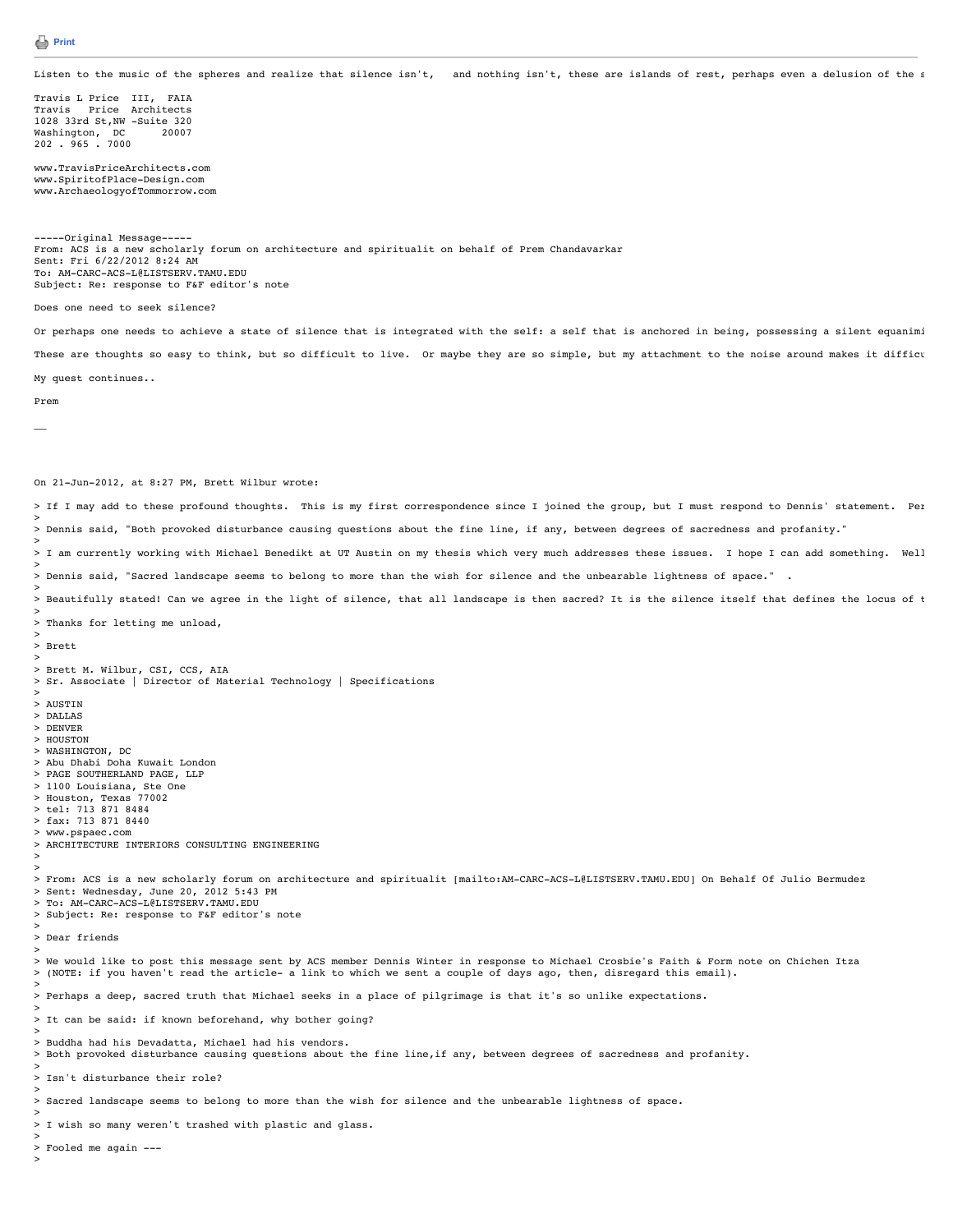Listen to the music of the spheres and realize that silence isn't, and nothing isn't, these are islands of rest, perhaps even a delusion of the s

Travis L Price III, FAIA Travis Price Architects 1028 33rd St,NW -Suite 320 Washington, DC 20007 202 . 965 . 7000

www.TravisPriceArchitects.com www.SpiritofPlace-Design.com www.ArchaeologyofTommorrow.com

---Original Message--From: ACS is a new scholarly forum on architecture and spiritualit on behalf of Prem Chandavarkar Sent: Fri 6/22/2012 8:24 AM To: AM-CARC-ACS-L@LISTSERV.TAMU.EDU Subject: Re: response to F&F editor's note

Does one need to seek silence?

Or perhaps one needs to achieve a state of silence that is integrated with the self: a self that is anchored in being, possessing a silent equanimi These are thoughts so easy to think, but so difficult to live. Or maybe they are so simple, but my attachment to the noise around makes it difficu

My quest continues..

Prem

 $\overline{a}$ 

On 21-Jun-2012, at 8:27 PM, Brett Wilbur wrote:

> If I may add to these profound thoughts. This is my first correspondence since I joined the group, but I must respond to Dennis' statement. Per >

> Dennis said, "Both provoked disturbance causing questions about the fine line, if any, between degrees of sacredness and profanity." >

> I am currently working with Michael Benedikt at UT Austin on my thesis which very much addresses these issues. I hope I can add something. Well > > Dennis said, "Sacred landscape seems to belong to more than the wish for silence and the unbearable lightness of space." .

> > Beautifully stated! Can we agree in the light of silence, that all landscape is then sacred? It is the silence itself that defines the locus of t

> > Thanks for letting me unload,

> > Brett

> > Brett M. Wilbur, CSI, CCS, AIA

> Sr. Associate | Director of Material Technology | Specifications

> > AUSTIN

> DALLAS

> DENVER > HOUSTON

> WASHINGTON, DC

> Abu Dhabi Doha Kuwait London

> PAGE SOUTHERLAND PAGE, LLP

> 1100 Louisiana, Ste One

> Houston, Texas 77002 > tel: 713 871 8484

> fax: 713 871 8440

- > www.pspaec.com
- > ARCHITECTURE INTERIORS CONSULTING ENGINEERING

> >

>

>

>

>

>

>

> From: ACS is a new scholarly forum on architecture and spiritualit [mailto:AM-CARC-ACS-L@LISTSERV.TAMU.EDU] On Behalf Of Julio Bermudez > Sent: Wednesday, June 20, 2012 5:43 PM > To: AM-CARC-ACS-L@LISTSERV.TAMU.EDU

> Subject: Re: response to F&F editor's note

> > Dear friends

>

> We would like to post this message sent by ACS member Dennis Winter in response to Michael Crosbie's Faith & Form note on Chichen Itza > (NOTE: if you haven't read the article- a link to which we sent a couple of days ago, then, disregard this email).

> Perhaps a deep, sacred truth that Michael seeks in a place of pilgrimage is that it's so unlike expectations.

> It can be said: if known beforehand, why bother going?

> > Buddha had his Devadatta, Michael had his vendors.

> Both provoked disturbance causing questions about the fine line,if any, between degrees of sacredness and profanity.

> Isn't disturbance their role?

> Sacred landscape seems to belong to more than the wish for silence and the unbearable lightness of space.

> I wish so many weren't trashed with plastic and glass.

> Fooled me again ---

>